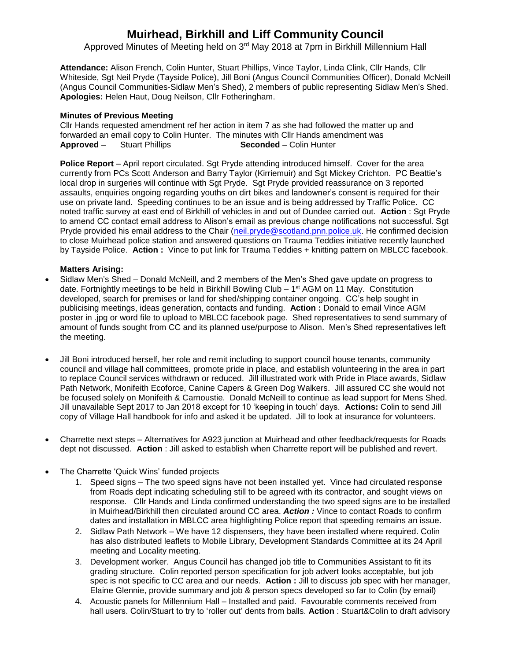# **Muirhead, Birkhill and Liff Community Council**

Approved Minutes of Meeting held on 3<sup>rd</sup> May 2018 at 7pm in Birkhill Millennium Hall

**Attendance:** Alison French, Colin Hunter, Stuart Phillips, Vince Taylor, Linda Clink, Cllr Hands, Cllr Whiteside, Sgt Neil Pryde (Tayside Police), Jill Boni (Angus Council Communities Officer), Donald McNeill (Angus Council Communities-Sidlaw Men's Shed), 2 members of public representing Sidlaw Men's Shed. **Apologies:** Helen Haut, Doug Neilson, Cllr Fotheringham.

# **Minutes of Previous Meeting**

Cllr Hands requested amendment ref her action in item 7 as she had followed the matter up and forwarded an email copy to Colin Hunter. The minutes with Cllr Hands amendment was **Approved** – Stuart Phillips **Seconded** – Colin Hunter

**Police Report** – April report circulated. Sgt Pryde attending introduced himself. Cover for the area currently from PCs Scott Anderson and Barry Taylor (Kirriemuir) and Sgt Mickey Crichton. PC Beattie's local drop in surgeries will continue with Sgt Pryde. Sgt Pryde provided reassurance on 3 reported assaults, enquiries ongoing regarding youths on dirt bikes and landowner's consent is required for their use on private land. Speeding continues to be an issue and is being addressed by Traffic Police. CC noted traffic survey at east end of Birkhill of vehicles in and out of Dundee carried out. **Action** : Sgt Pryde to amend CC contact email address to Alison's email as previous change notifications not successful. Sgt Pryde provided his email address to the Chair [\(neil.pryde@scotland.pnn.police.uk.](mailto:neil.pryde@scotland.pnn.police.uk) He confirmed decision to close Muirhead police station and answered questions on Trauma Teddies initiative recently launched by Tayside Police. **Action :** Vince to put link for Trauma Teddies + knitting pattern on MBLCC facebook.

### **Matters Arising:**

- Sidlaw Men's Shed Donald McNeill, and 2 members of the Men's Shed gave update on progress to date. Fortnightly meetings to be held in Birkhill Bowling Club – 1<sup>st</sup> AGM on 11 May. Constitution developed, search for premises or land for shed/shipping container ongoing. CC's help sought in publicising meetings, ideas generation, contacts and funding. **Action :** Donald to email Vince AGM poster in .jpg or word file to upload to MBLCC facebook page. Shed representatives to send summary of amount of funds sought from CC and its planned use/purpose to Alison. Men's Shed representatives left the meeting.
- Jill Boni introduced herself, her role and remit including to support council house tenants, community council and village hall committees, promote pride in place, and establish volunteering in the area in part to replace Council services withdrawn or reduced. Jill illustrated work with Pride in Place awards, Sidlaw Path Network, Monifeith Ecoforce, Canine Capers & Green Dog Walkers. Jill assured CC she would not be focused solely on Monifeith & Carnoustie. Donald McNeill to continue as lead support for Mens Shed. Jill unavailable Sept 2017 to Jan 2018 except for 10 'keeping in touch' days. **Actions:** Colin to send Jill copy of Village Hall handbook for info and asked it be updated. Jill to look at insurance for volunteers.
- Charrette next steps Alternatives for A923 junction at Muirhead and other feedback/requests for Roads dept not discussed. **Action** : Jill asked to establish when Charrette report will be published and revert.
- The Charrette 'Quick Wins' funded projects
	- 1. Speed signs The two speed signs have not been installed yet. Vince had circulated response from Roads dept indicating scheduling still to be agreed with its contractor, and sought views on response. Cllr Hands and Linda confirmed understanding the two speed signs are to be installed in Muirhead/Birkhill then circulated around CC area. *Action :* Vince to contact Roads to confirm dates and installation in MBLCC area highlighting Police report that speeding remains an issue.
	- 2. Sidlaw Path Network We have 12 dispensers, they have been installed where required. Colin has also distributed leaflets to Mobile Library, Development Standards Committee at its 24 April meeting and Locality meeting.
	- 3. Development worker. Angus Council has changed job title to Communities Assistant to fit its grading structure. Colin reported person specification for job advert looks acceptable, but job spec is not specific to CC area and our needs. **Action :** Jill to discuss job spec with her manager, Elaine Glennie, provide summary and job & person specs developed so far to Colin (by email)
	- 4. Acoustic panels for Millennium Hall Installed and paid. Favourable comments received from hall users. Colin/Stuart to try to 'roller out' dents from balls. **Action** : Stuart&Colin to draft advisory